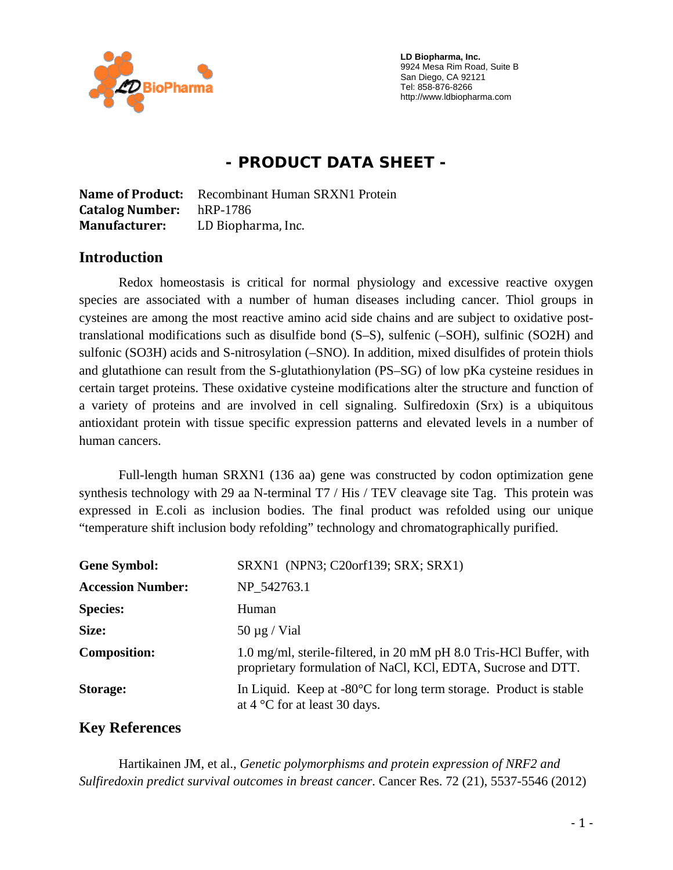

 **LD Biopharma, Inc.**  9924 Mesa Rim Road, Suite B San Diego, CA 92121 Tel: 858-876-8266 http://www.ldbiopharma.com

# **- PRODUCT DATA SHEET -**

**Name of Product:** Recombinant Human SRXN1 Protein **Catalog Number:** hRP-1786 **Manufacturer:** LD Biopharma, Inc.

#### **Introduction**

Redox homeostasis is critical for normal physiology and excessive reactive oxygen species are associated with a number of human diseases including cancer. Thiol groups in cysteines are among the most reactive amino acid side chains and are subject to oxidative posttranslational modifications such as disulfide bond (S–S), sulfenic (–SOH), sulfinic (SO2H) and sulfonic (SO3H) acids and S-nitrosylation (–SNO). In addition, mixed disulfides of protein thiols and glutathione can result from the S-glutathionylation (PS–SG) of low pKa cysteine residues in certain target proteins. These oxidative cysteine modifications alter the structure and function of a variety of proteins and are involved in cell signaling. Sulfiredoxin (Srx) is a ubiquitous antioxidant protein with tissue specific expression patterns and elevated levels in a number of human cancers.

Full-length human SRXN1 (136 aa) gene was constructed by codon optimization gene synthesis technology with 29 aa N-terminal T7 / His / TEV cleavage site Tag. This protein was expressed in E.coli as inclusion bodies. The final product was refolded using our unique "temperature shift inclusion body refolding" technology and chromatographically purified.

| <b>Gene Symbol:</b>      | SRXN1 (NPN3; C20orf139; SRX; SRX1)                                                                                                 |
|--------------------------|------------------------------------------------------------------------------------------------------------------------------------|
| <b>Accession Number:</b> | NP 542763.1                                                                                                                        |
| <b>Species:</b>          | Human                                                                                                                              |
| Size:                    | $50 \mu g$ / Vial                                                                                                                  |
| <b>Composition:</b>      | 1.0 mg/ml, sterile-filtered, in 20 mM pH 8.0 Tris-HCl Buffer, with<br>proprietary formulation of NaCl, KCl, EDTA, Sucrose and DTT. |
| Storage:                 | In Liquid. Keep at $-80^{\circ}$ C for long term storage. Product is stable<br>at $4^{\circ}$ C for at least 30 days.              |

### **Key References**

 Hartikainen JM, et al., *Genetic polymorphisms and protein expression of NRF2 and Sulfiredoxin predict survival outcomes in breast cancer*. Cancer Res. 72 (21), 5537-5546 (2012)